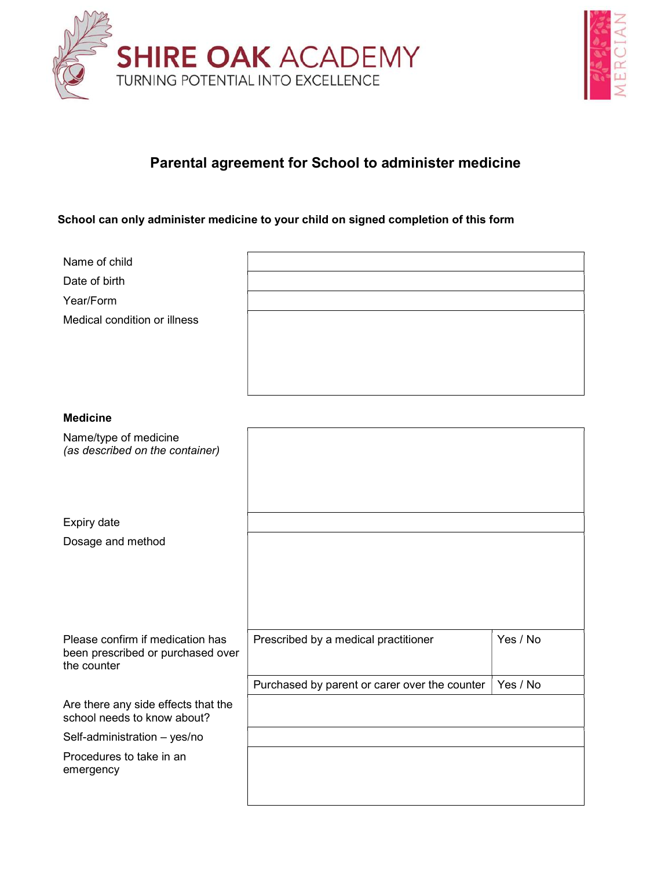



## Parental agreement for School to administer medicine

## School can only administer medicine to your child on signed completion of this form

| Name of child<br>Date of birth<br>Year/Form<br>Medical condition or illness          |                                               |          |
|--------------------------------------------------------------------------------------|-----------------------------------------------|----------|
| <b>Medicine</b>                                                                      |                                               |          |
| Name/type of medicine<br>(as described on the container)                             |                                               |          |
| Expiry date                                                                          |                                               |          |
| Dosage and method                                                                    |                                               |          |
| Please confirm if medication has<br>been prescribed or purchased over<br>the counter | Prescribed by a medical practitioner          | Yes / No |
|                                                                                      | Purchased by parent or carer over the counter | Yes / No |
| Are there any side effects that the<br>school needs to know about?                   |                                               |          |
| Self-administration - yes/no                                                         |                                               |          |
| Procedures to take in an<br>emergency                                                |                                               |          |